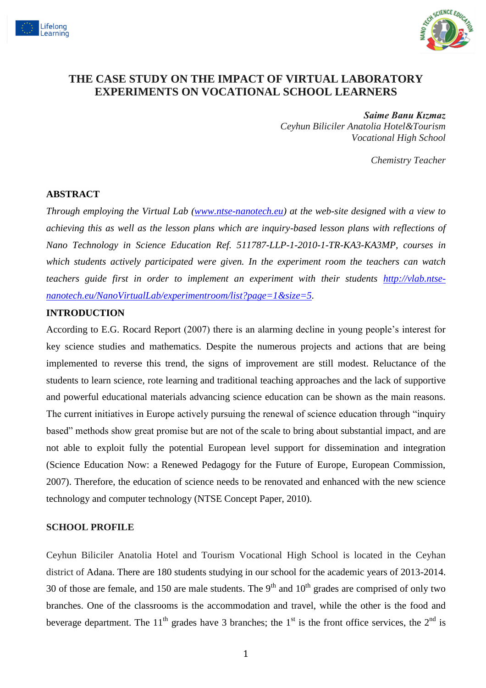



# **THE CASE STUDY ON THE IMPACT OF VIRTUAL LABORATORY EXPERIMENTS ON VOCATIONAL SCHOOL LEARNERS**

#### *Saime Banu Kızmaz*

*Ceyhun Biliciler Anatolia Hotel&Tourism Vocational High School*

*Chemistry Teacher*

#### **ABSTRACT**

*Through employing the Virtual Lab [\(www.ntse-nanotech.eu\)](http://www.ntse-nanotech.eu/) at the web-site designed with a view to achieving this as well as the lesson plans which are inquiry-based lesson plans with reflections of Nano Technology in Science Education Ref. 511787-LLP-1-2010-1-TR-KA3-KA3MP, courses in which students actively participated were given. In the experiment room the teachers can watch teachers guide first in order to implement an experiment with their students [http://vlab.ntse](http://vlab.ntse-nanotech.eu/NanoVirtualLab/experimentroom/list?page=1&size=5)[nanotech.eu/NanoVirtualLab/experimentroom/list?page=1&size=5.](http://vlab.ntse-nanotech.eu/NanoVirtualLab/experimentroom/list?page=1&size=5)*

#### **INTRODUCTION**

According to E.G. Rocard Report (2007) there is an alarming decline in young people's interest for key science studies and mathematics. Despite the numerous projects and actions that are being implemented to reverse this trend, the signs of improvement are still modest. Reluctance of the students to learn science, rote learning and traditional teaching approaches and the lack of supportive and powerful educational materials advancing science education can be shown as the main reasons. The current initiatives in Europe actively pursuing the renewal of science education through "inquiry based" methods show great promise but are not of the scale to bring about substantial impact, and are not able to exploit fully the potential European level support for dissemination and integration (Science Education Now: a Renewed Pedagogy for the Future of Europe, European Commission, 2007). Therefore, the education of science needs to be renovated and enhanced with the new science technology and computer technology (NTSE Concept Paper, 2010).

#### **SCHOOL PROFILE**

Ceyhun Biliciler Anatolia Hotel and Tourism Vocational High School is located in the Ceyhan district of Adana. There are 180 students studying in our school for the academic years of 2013-2014. 30 of those are female, and 150 are male students. The  $9<sup>th</sup>$  and  $10<sup>th</sup>$  grades are comprised of only two branches. One of the classrooms is the accommodation and travel, while the other is the food and beverage department. The 11<sup>th</sup> grades have 3 branches; the 1<sup>st</sup> is the front office services, the 2<sup>nd</sup> is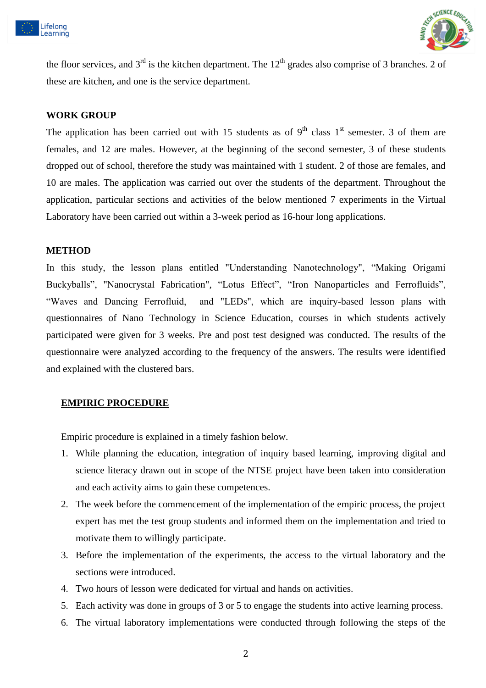



the floor services, and  $3<sup>rd</sup>$  is the kitchen department. The 12<sup>th</sup> grades also comprise of 3 branches. 2 of these are kitchen, and one is the service department.

#### **WORK GROUP**

The application has been carried out with 15 students as of  $9<sup>th</sup>$  class 1<sup>st</sup> semester. 3 of them are females, and 12 are males. However, at the beginning of the second semester, 3 of these students dropped out of school, therefore the study was maintained with 1 student. 2 of those are females, and 10 are males. The application was carried out over the students of the department. Throughout the application, particular sections and activities of the below mentioned 7 experiments in the Virtual Laboratory have been carried out within a 3-week period as 16-hour long applications.

#### **METHOD**

In this study, the lesson plans entitled "Understanding Nanotechnology", "Making Origami Buckyballs", "Nanocrystal Fabrication", "Lotus Effect", "Iron Nanoparticles and Ferrofluids", "Waves and Dancing Ferrofluid, and "LEDs", which are inquiry-based lesson plans with questionnaires of Nano Technology in Science Education, courses in which students actively participated were given for 3 weeks. Pre and post test designed was conducted. The results of the questionnaire were analyzed according to the frequency of the answers. The results were identified and explained with the clustered bars.

#### **EMPIRIC PROCEDURE**

Empiric procedure is explained in a timely fashion below.

- 1. While planning the education, integration of inquiry based learning, improving digital and science literacy drawn out in scope of the NTSE project have been taken into consideration and each activity aims to gain these competences.
- 2. The week before the commencement of the implementation of the empiric process, the project expert has met the test group students and informed them on the implementation and tried to motivate them to willingly participate.
- 3. Before the implementation of the experiments, the access to the virtual laboratory and the sections were introduced.
- 4. Two hours of lesson were dedicated for virtual and hands on activities.
- 5. Each activity was done in groups of 3 or 5 to engage the students into active learning process.
- 6. The virtual laboratory implementations were conducted through following the steps of the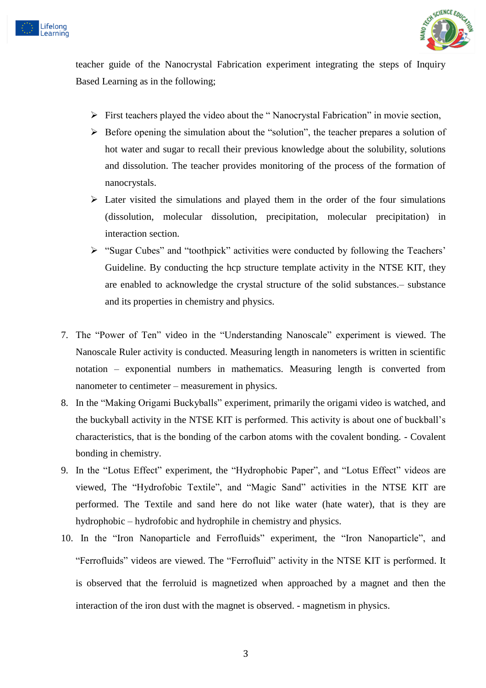



teacher guide of the Nanocrystal Fabrication experiment integrating the steps of Inquiry Based Learning as in the following;

- $\triangleright$  First teachers played the video about the "Nanocrystal Fabrication" in movie section,
- $\triangleright$  Before opening the simulation about the "solution", the teacher prepares a solution of hot water and sugar to recall their previous knowledge about the solubility, solutions and dissolution. The teacher provides monitoring of the process of the formation of nanocrystals.
- $\triangleright$  Later visited the simulations and played them in the order of the four simulations (dissolution, molecular dissolution, precipitation, molecular precipitation) in interaction section.
- "Sugar Cubes" and "toothpick" activities were conducted by following the Teachers' Guideline. By conducting the hcp structure template activity in the NTSE KIT, they are enabled to acknowledge the crystal structure of the solid substances.– substance and its properties in chemistry and physics.
- 7. The "Power of Ten" video in the "Understanding Nanoscale" experiment is viewed. The Nanoscale Ruler activity is conducted. Measuring length in nanometers is written in scientific notation – exponential numbers in mathematics. Measuring length is converted from nanometer to centimeter – measurement in physics.
- 8. In the "Making Origami Buckyballs" experiment, primarily the origami video is watched, and the buckyball activity in the NTSE KIT is performed. This activity is about one of buckball's characteristics, that is the bonding of the carbon atoms with the covalent bonding. - Covalent bonding in chemistry.
- 9. In the "Lotus Effect" experiment, the "Hydrophobic Paper", and "Lotus Effect" videos are viewed, The "Hydrofobic Textile", and "Magic Sand" activities in the NTSE KIT are performed. The Textile and sand here do not like water (hate water), that is they are hydrophobic – hydrofobic and hydrophile in chemistry and physics.
- 10. In the "Iron Nanoparticle and Ferrofluids" experiment, the "Iron Nanoparticle", and "Ferrofluids" videos are viewed. The "Ferrofluid" activity in the NTSE KIT is performed. It is observed that the ferroluid is magnetized when approached by a magnet and then the interaction of the iron dust with the magnet is observed. - magnetism in physics.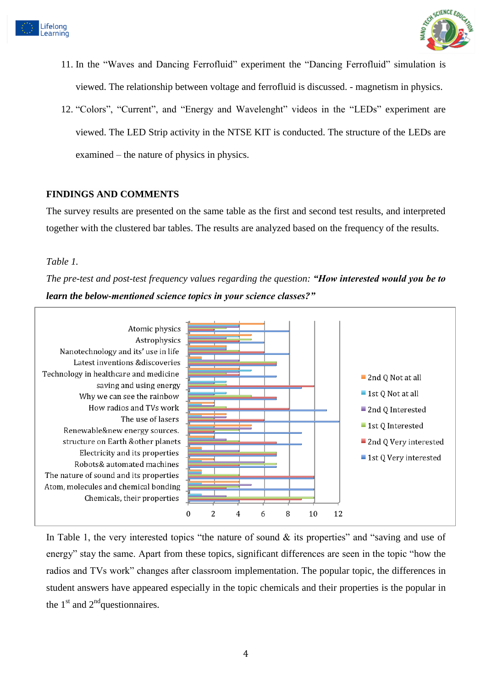



- 11. In the "Waves and Dancing Ferrofluid" experiment the "Dancing Ferrofluid" simulation is viewed. The relationship between voltage and ferrofluid is discussed. - magnetism in physics.
- 12. "Colors", "Current", and "Energy and Wavelenght" videos in the "LEDs" experiment are viewed. The LED Strip activity in the NTSE KIT is conducted. The structure of the LEDs are examined – the nature of physics in physics.

### **FINDINGS AND COMMENTS**

The survey results are presented on the same table as the first and second test results, and interpreted together with the clustered bar tables. The results are analyzed based on the frequency of the results.

#### *Table 1.*

*The pre-test and post-test frequency values regarding the question: "How interested would you be to learn the below-mentioned science topics in your science classes?"*



In Table 1, the very interested topics "the nature of sound  $\&$  its properties" and "saving and use of energy" stay the same. Apart from these topics, significant differences are seen in the topic "how the radios and TVs work" changes after classroom implementation. The popular topic, the differences in student answers have appeared especially in the topic chemicals and their properties is the popular in the  $1<sup>st</sup>$  and  $2<sup>nd</sup>$ questionnaires.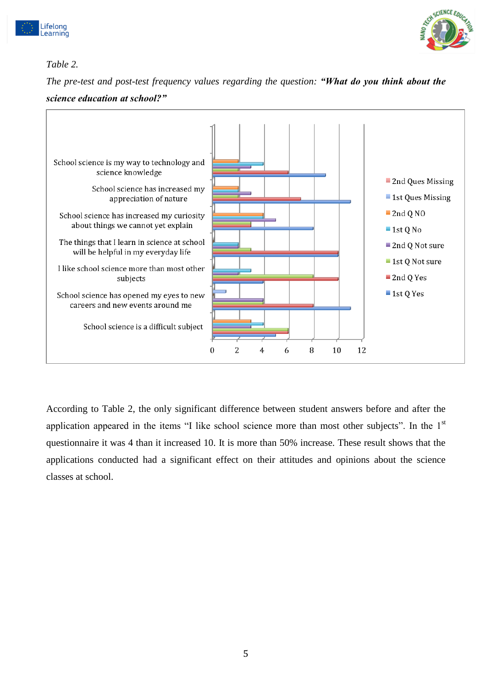



# *Table 2.*

*The pre-test and post-test frequency values regarding the question: "What do you think about the science education at school?"*



According to Table 2, the only significant difference between student answers before and after the application appeared in the items "I like school science more than most other subjects". In the 1<sup>st</sup> questionnaire it was 4 than it increased 10. It is more than 50% increase. These result shows that the applications conducted had a significant effect on their attitudes and opinions about the science classes at school.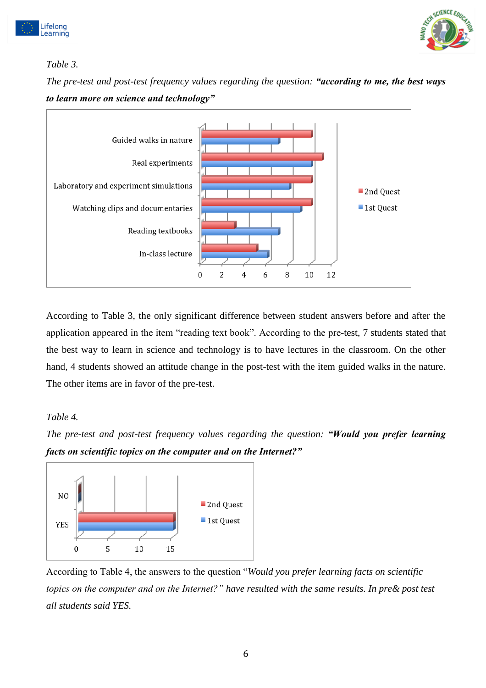



# *Table 3.*

*The pre-test and post-test frequency values regarding the question: "according to me, the best ways to learn more on science and technology"*



According to Table 3, the only significant difference between student answers before and after the application appeared in the item "reading text book". According to the pre-test, 7 students stated that the best way to learn in science and technology is to have lectures in the classroom. On the other hand, 4 students showed an attitude change in the post-test with the item guided walks in the nature. The other items are in favor of the pre-test.

### *Table 4.*





According to Table 4, the answers to the question "*Would you prefer learning facts on scientific topics on the computer and on the Internet?" have resulted with the same results. In pre& post test all students said YES.*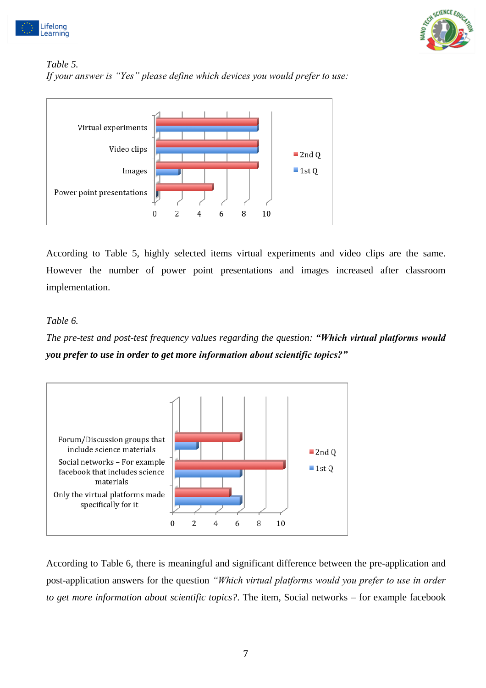



### *Table 5. If your answer is "Yes" please define which devices you would prefer to use:*



According to Table 5, highly selected items virtual experiments and video clips are the same. However the number of power point presentations and images increased after classroom implementation.

### *Table 6.*

# *The pre-test and post-test frequency values regarding the question: "Which virtual platforms would you prefer to use in order to get more information about scientific topics?"*



According to Table 6, there is meaningful and significant difference between the pre-application and post-application answers for the question *"Which virtual platforms would you prefer to use in order to get more information about scientific topics?*. The item, Social networks – for example facebook